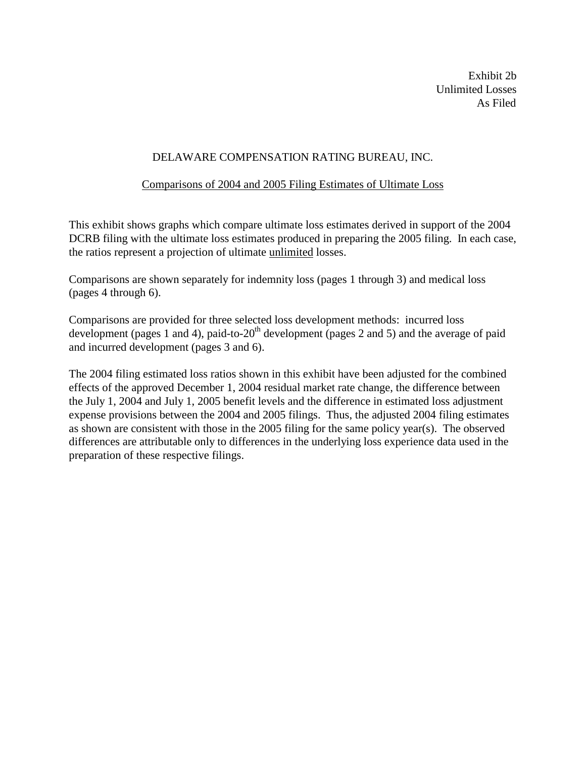Exhibit 2b Unlimited Losses As Filed

#### DELAWARE COMPENSATION RATING BUREAU, INC.

#### Comparisons of 2004 and 2005 Filing Estimates of Ultimate Loss

This exhibit shows graphs which compare ultimate loss estimates derived in support of the 2004 DCRB filing with the ultimate loss estimates produced in preparing the 2005 filing. In each case, the ratios represent a projection of ultimate unlimited losses.

Comparisons are shown separately for indemnity loss (pages 1 through 3) and medical loss (pages 4 through 6).

Comparisons are provided for three selected loss development methods: incurred loss development (pages 1 and 4), paid-to-20<sup>th</sup> development (pages 2 and 5) and the average of paid and incurred development (pages 3 and 6).

The 2004 filing estimated loss ratios shown in this exhibit have been adjusted for the combined effects of the approved December 1, 2004 residual market rate change, the difference between the July 1, 2004 and July 1, 2005 benefit levels and the difference in estimated loss adjustment expense provisions between the 2004 and 2005 filings. Thus, the adjusted 2004 filing estimates as shown are consistent with those in the 2005 filing for the same policy year(s). The observed differences are attributable only to differences in the underlying loss experience data used in the preparation of these respective filings.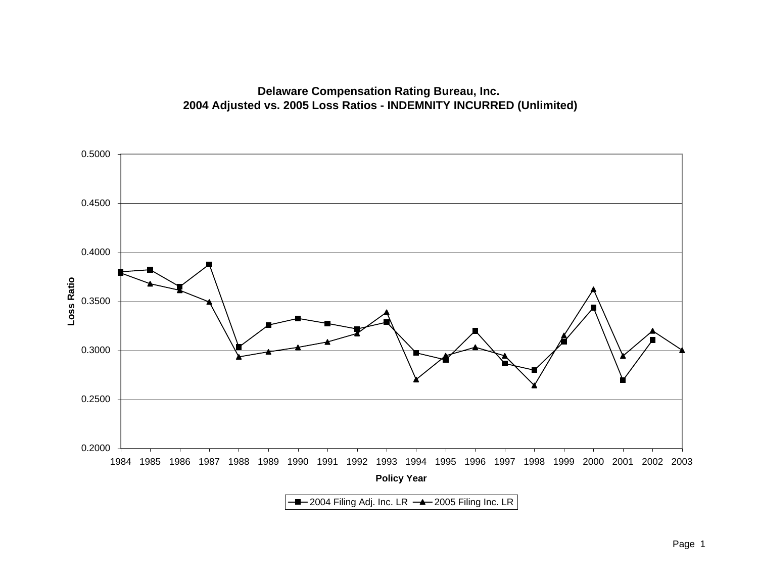## **Delaware Compensation Rating Bureau, Inc. 2004 Adjusted vs. 2005 Loss Ratios - INDEMNITY INCURRED (Unlimited)**

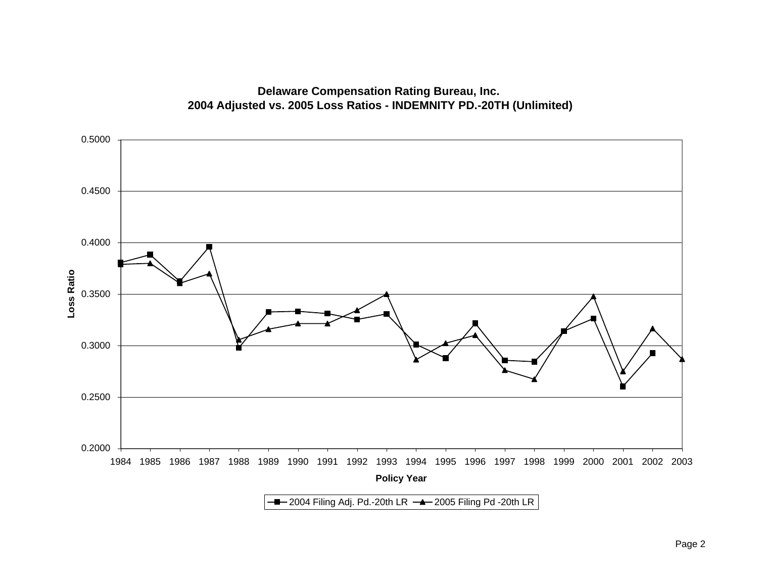

# **Delaware Compensation Rating Bureau, Inc. 2004 Adjusted vs. 2005 Loss Ratios - INDEMNITY PD.-20TH (Unlimited)**

Page 2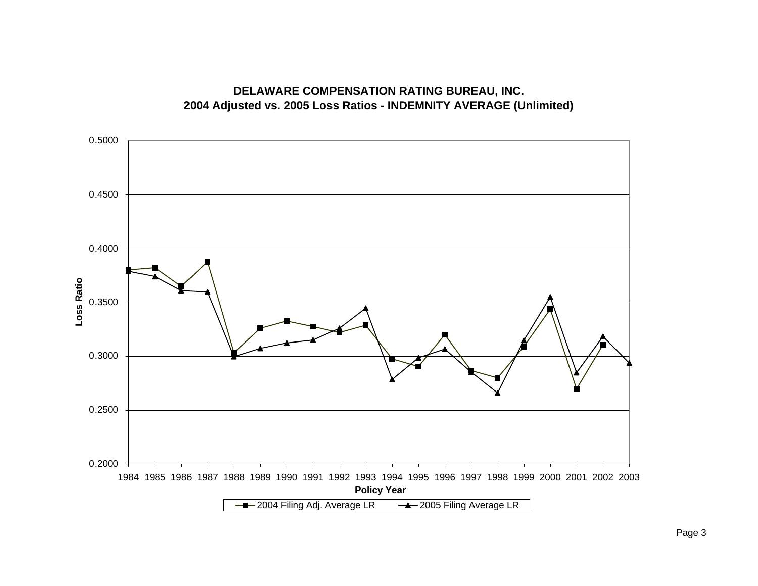

### **DELAWARE COMPENSATION RATING BUREAU, INC. 2004 Adjusted vs. 2005 Loss Ratios - INDEMNITY AVERAGE (Unlimited)**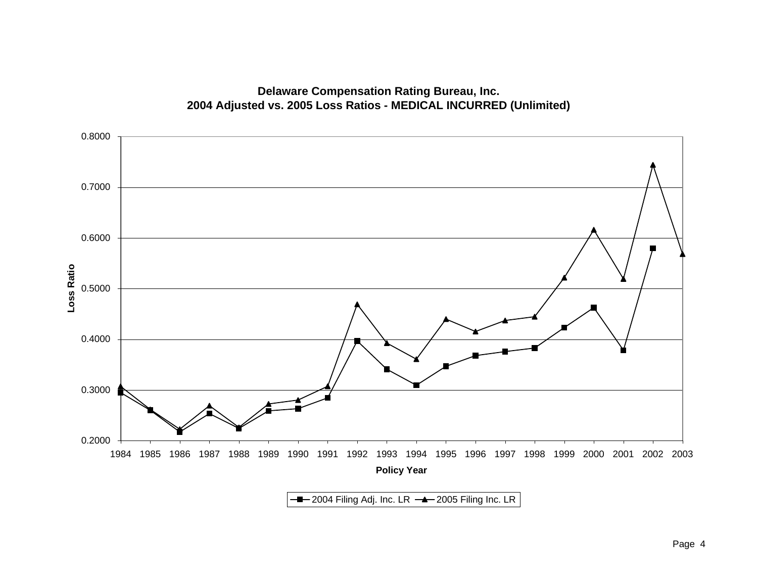

# **Delaware Compensation Rating Bureau, Inc. 2004 Adjusted vs. 2005 Loss Ratios - MEDICAL INCURRED (Unlimited)**

 $\overline{2004}$  Filing Adj. Inc. LR  $\overline{2005}$  Filing Inc. LR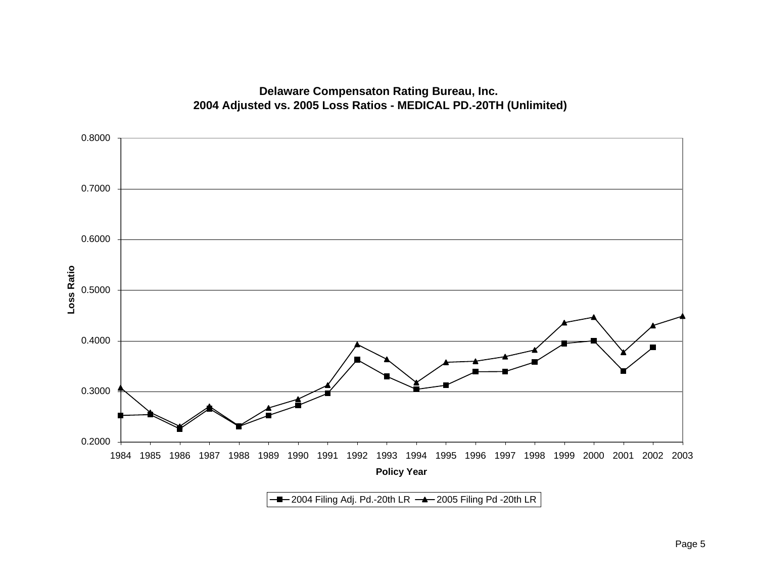

# **Delaware Compensaton Rating Bureau, Inc. 2004 Adjusted vs. 2005 Loss Ratios - MEDICAL PD.-20TH (Unlimited)**

 $-$ 2004 Filing Adj. Pd.-20th LR  $-$  2005 Filing Pd -20th LR